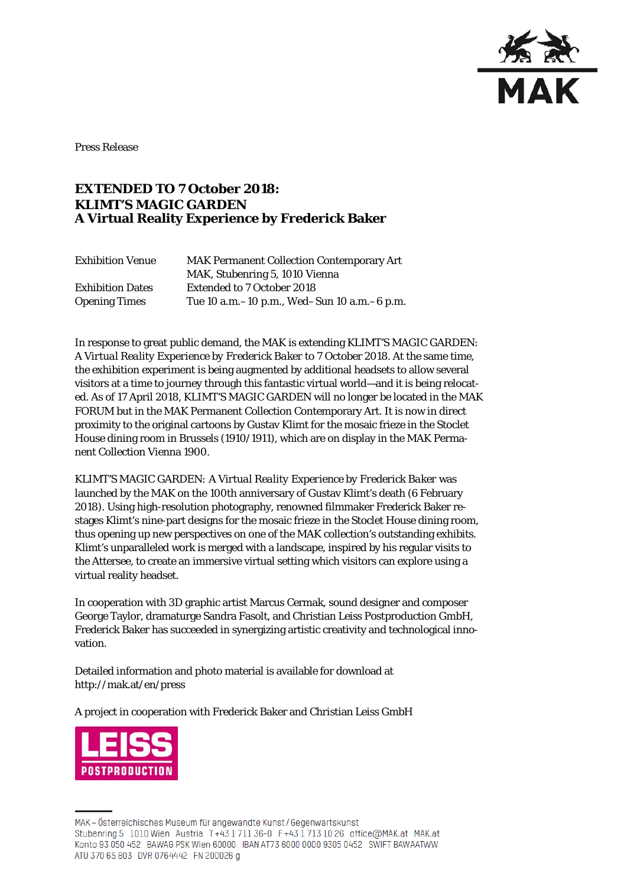

Press Release

## **EXTENDED TO 7 October 2018: KLIMT'S MAGIC GARDEN A Virtual Reality Experience by Frederick Baker**

| <b>Exhibition Venue</b> | <b>MAK Permanent Collection Contemporary Art</b> |
|-------------------------|--------------------------------------------------|
|                         | MAK, Stubenring 5, 1010 Vienna                   |
| <b>Exhibition Dates</b> | <b>Extended to 7 October 2018</b>                |
| <b>Opening Times</b>    | Tue 10 a.m. -10 p.m., Wed-Sun 10 a.m. -6 p.m.    |

In response to great public demand, the MAK is extending *KLIMT'S MAGIC GARDEN: A Virtual Reality Experience by Frederick Baker* to 7 October 2018. At the same time, the exhibition experiment is being augmented by additional headsets to allow several visitors at a time to journey through this fantastic virtual world—and it is being relocated. As of 17 April 2018, *KLIMT'S MAGIC GARDEN* will no longer be located in the MAK FORUM but in the MAK Permanent Collection Contemporary Art. It is now in direct proximity to the original cartoons by Gustav Klimt for the mosaic frieze in the Stoclet House dining room in Brussels (1910/1911), which are on display in the MAK Permanent Collection Vienna 1900.

*KLIMT'S MAGIC GARDEN: A Virtual Reality Experience by Frederick Baker* was launched by the MAK on the 100th anniversary of Gustav Klimt's death (6 February 2018). Using high-resolution photography, renowned filmmaker Frederick Baker restages Klimt's nine-part designs for the mosaic frieze in the Stoclet House dining room, thus opening up new perspectives on one of the MAK collection's outstanding exhibits. Klimt's unparalleled work is merged with a landscape, inspired by his regular visits to the Attersee, to create an immersive virtual setting which visitors can explore using a virtual reality headset.

In cooperation with 3D graphic artist Marcus Cermak, sound designer and composer George Taylor, dramaturge Sandra Fasolt, and Christian Leiss Postproduction GmbH, Frederick Baker has succeeded in synergizing artistic creativity and technological innovation.

Detailed information and photo material is available for download at http://mak.at/en/press

A project in cooperation with Frederick Baker and Christian Leiss GmbH



MAK-Österreichisches Museum für angewandte Kunst/Gegenwartskunst Stubenring 5 1010 Wien Austria T+43 1 711 36-0 F+43 1 713 10 26 office@MAK.at MAK.at Konto 93 050 452 BAWAG PSK Wien 60000 IBAN AT73 6000 0000 9305 0452 SWIFT BAWAATWW ATU 370 65 803 DVR 0764442 FN 200026 g